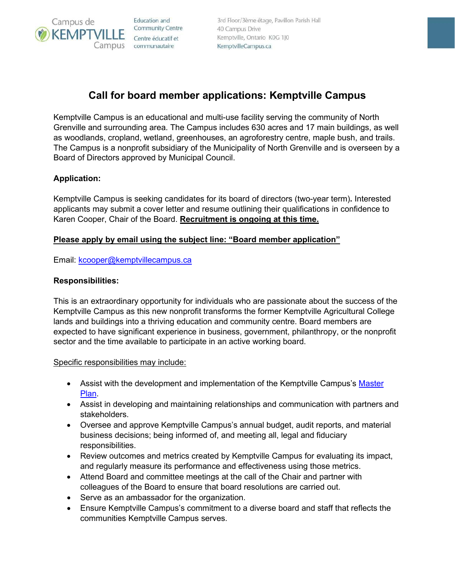**Education** and Community Centre Centre éducatif et Campus communautaire

3rd Floor/3ème étage, Pavillon Parish Hall 40 Campus Drive Kemptville, Ontario K0G 1J0 KemptvilleCampus.ca

# **Call for board member applications: Kemptville Campus**

Kemptville Campus is an educational and multi-use facility serving the community of North Grenville and surrounding area. The Campus includes 630 acres and 17 main buildings, as well as woodlands, cropland, wetland, greenhouses, an agroforestry centre, maple bush, and trails. The Campus is a nonprofit subsidiary of the Municipality of North Grenville and is overseen by a Board of Directors approved by Municipal Council.

## **Application:**

Campus de

**KEMPT** 

Kemptville Campus is seeking candidates for its board of directors (two-year term)**.** Interested applicants may submit a cover letter and resume outlining their qualifications in confidence to Karen Cooper, Chair of the Board. **Recruitment is ongoing at this time.**

## **Please apply by email using the subject line: "Board member application"**

Email: [kcooper@kemptvillecampus.ca](mailto:kcooper@kemptvillecampus.ca)

## **Responsibilities:**

This is an extraordinary opportunity for individuals who are passionate about the success of the Kemptville Campus as this new nonprofit transforms the former Kemptville Agricultural College lands and buildings into a thriving education and community centre. Board members are expected to have significant experience in business, government, philanthropy, or the nonprofit sector and the time available to participate in an active working board.

#### Specific responsibilities may include:

- Assist with the development and implementation of the Kemptville Campus's Master [Plan.](https://www.kemptvillecampus.ca/regen)
- Assist in developing and maintaining relationships and communication with partners and stakeholders.
- Oversee and approve Kemptville Campus's annual budget, audit reports, and material business decisions; being informed of, and meeting all, legal and fiduciary responsibilities.
- Review outcomes and metrics created by Kemptville Campus for evaluating its impact, and regularly measure its performance and effectiveness using those metrics.
- Attend Board and committee meetings at the call of the Chair and partner with colleagues of the Board to ensure that board resolutions are carried out.
- Serve as an ambassador for the organization.
- Ensure Kemptville Campus's commitment to a diverse board and staff that reflects the communities Kemptville Campus serves.